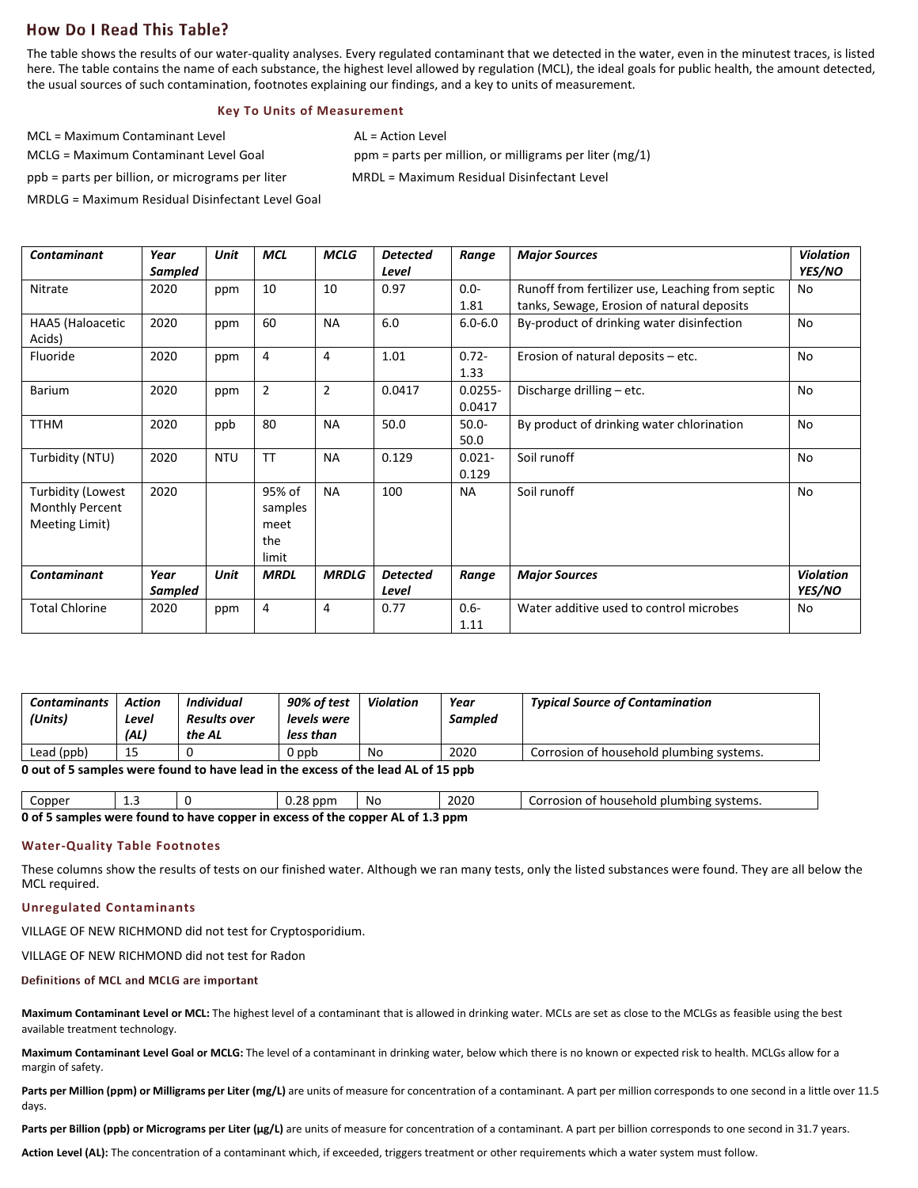# **How Do I Read This Table?**

The table shows the results of our water-quality analyses. Every regulated contaminant that we detected in the water, even in the minutest traces, is listed here. The table contains the name of each substance, the highest level allowed by regulation (MCL), the ideal goals for public health, the amount detected, the usual sources of such contamination, footnotes explaining our findings, and a key to units of measurement.

# **Key To Units of Measurement**

 $MC \leq$  Maximum Contaminant Level  $AC \leq$  AL = Action Level

MCLG = Maximum Contaminant Level Goal ppm = parts per million, or milligrams per liter (mg/1) ppb = parts per billion, or micrograms per liter MRDL = Maximum Residual Disinfectant Level

MRDLG = Maximum Residual Disinfectant Level Goal

| <b>Contaminant</b>                                                   | Year<br>Sampled | Unit       | <b>MCL</b>                                | <b>MCLG</b>    | <b>Detected</b><br>Level | Range                | <b>Major Sources</b>                                                                           | <b>Violation</b><br><b>YES/NO</b> |
|----------------------------------------------------------------------|-----------------|------------|-------------------------------------------|----------------|--------------------------|----------------------|------------------------------------------------------------------------------------------------|-----------------------------------|
| Nitrate                                                              | 2020            | ppm        | 10                                        | 10             | 0.97                     | $0.0 -$<br>1.81      | Runoff from fertilizer use, Leaching from septic<br>tanks, Sewage, Erosion of natural deposits | No.                               |
| HAA5 (Haloacetic<br>Acids)                                           | 2020            | ppm        | 60                                        | <b>NA</b>      | 6.0                      | $6.0 - 6.0$          | By-product of drinking water disinfection                                                      | No                                |
| Fluoride                                                             | 2020            | ppm        | 4                                         | 4              | 1.01                     | $0.72 -$<br>1.33     | Erosion of natural deposits - etc.                                                             | No                                |
| <b>Barium</b>                                                        | 2020            | ppm        | $\overline{2}$                            | $\overline{2}$ | 0.0417                   | $0.0255 -$<br>0.0417 | Discharge drilling - etc.                                                                      | No                                |
| <b>TTHM</b>                                                          | 2020            | ppb        | 80                                        | <b>NA</b>      | 50.0                     | $50.0 -$<br>50.0     | By product of drinking water chlorination                                                      | <b>No</b>                         |
| Turbidity (NTU)                                                      | 2020            | <b>NTU</b> | <b>TT</b>                                 | <b>NA</b>      | 0.129                    | $0.021 -$<br>0.129   | Soil runoff                                                                                    | No                                |
| <b>Turbidity (Lowest</b><br><b>Monthly Percent</b><br>Meeting Limit) | 2020            |            | 95% of<br>samples<br>meet<br>the<br>limit | <b>NA</b>      | 100                      | <b>NA</b>            | Soil runoff                                                                                    | No                                |
| <b>Contaminant</b>                                                   | Year<br>Sampled | Unit       | <b>MRDL</b>                               | <b>MRDLG</b>   | <b>Detected</b><br>Level | Range                | <b>Major Sources</b>                                                                           | <b>Violation</b><br><b>YES/NO</b> |
| <b>Total Chlorine</b>                                                | 2020            | ppm        | 4                                         | 4              | 0.77                     | $0.6 -$<br>1.11      | Water additive used to control microbes                                                        | No                                |

| <b>Contaminants</b><br>(Units)                                                    | Action<br>Level<br>(AL) | Individual<br><b>Results over</b><br>the AL | 90% of test<br>levels were<br>less than | <b>Violation</b> | Year<br><b>Sampled</b> | <b>Typical Source of Contamination</b>   |  |  |
|-----------------------------------------------------------------------------------|-------------------------|---------------------------------------------|-----------------------------------------|------------------|------------------------|------------------------------------------|--|--|
| Lead (ppb)                                                                        | 15                      |                                             | dag 0                                   | No               | 2020                   | Corrosion of household plumbing systems. |  |  |
| 0 out of 5 samples were found to have lead in the excess of the lead AL of 15 ppb |                         |                                             |                                         |                  |                        |                                          |  |  |

| Copper                                                                                                                    | -- |  | ിറ<br>, ppr<br>∪.∠∪ | .No | 2020 | I plumbing systems.<br><b>್</b> nouseholo പ<br>Corrosion 1 |  |  |
|---------------------------------------------------------------------------------------------------------------------------|----|--|---------------------|-----|------|------------------------------------------------------------|--|--|
| n of E<br>$\frac{1}{2}$ camples were found to have conner in excess of the conner $\Lambda$ of 1,2 $\frac{1}{2}$<br>2 nnm |    |  |                     |     |      |                                                            |  |  |

**0 of 5 samples were found to have copper in excess of the copper AL of 1.3 ppm**

#### **Water-Quality Table Footnotes**

These columns show the results of tests on our finished water. Although we ran many tests, only the listed substances were found. They are all below the MCL required.

## **Unregulated Contaminants**

VILLAGE OF NEW RICHMOND did not test for Cryptosporidium.

VILLAGE OF NEW RICHMOND did not test for Radon

### Definitions of MCL and MCLG are important

**Maximum Contaminant Level or MCL:** The highest level of a contaminant that is allowed in drinking water. MCLs are set as close to the MCLGs as feasible using the best available treatment technology.

**Maximum Contaminant Level Goal or MCLG:** The level of a contaminant in drinking water, below which there is no known or expected risk to health. MCLGs allow for a margin of safety.

Parts per Million (ppm) or Milligrams per Liter (mg/L) are units of measure for concentration of a contaminant. A part per million corresponds to one second in a little over 11.5 days.

Parts per Billion (ppb) or Micrograms per Liter (µg/L) are units of measure for concentration of a contaminant. A part per billion corresponds to one second in 31.7 years.

**Action Level (AL):** The concentration of a contaminant which, if exceeded, triggers treatment or other requirements which a water system must follow.